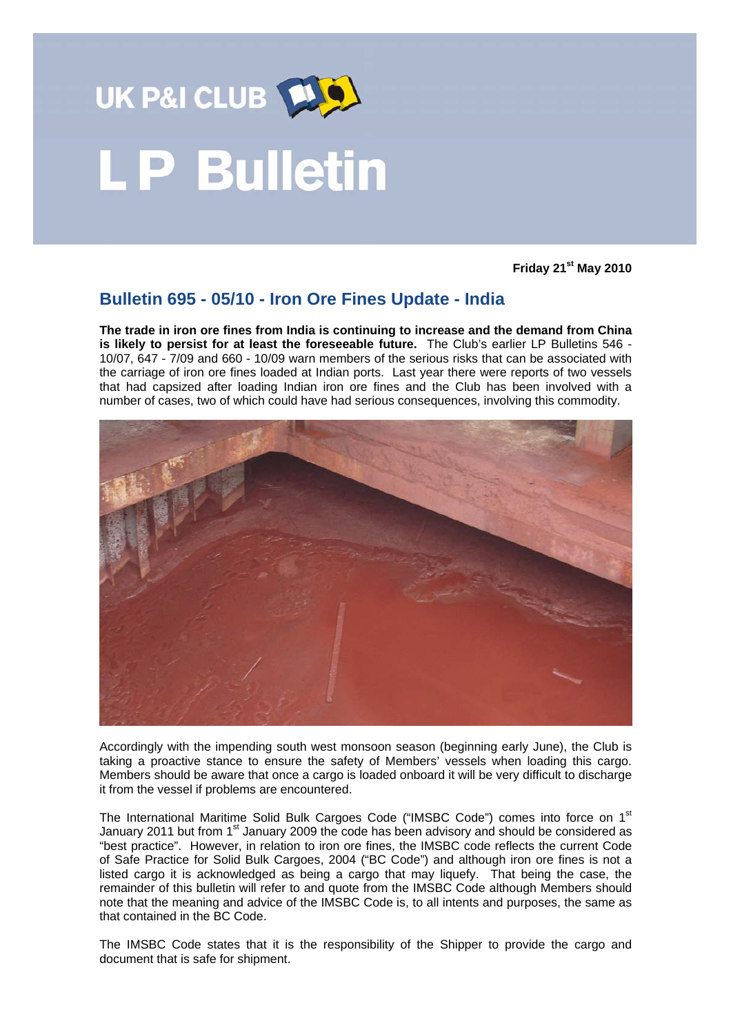

# **LP Bulletin**

**Friday 21st May 2010** 

# **Bulletin 695 - 05/10 - Iron Ore Fines Update - India**

**The trade in iron ore fines from India is continuing to increase and the demand from China is likely to persist for at least the foreseeable future.** The Club's earlier LP Bulletins 546 - 10/07, 647 - 7/09 and 660 - 10/09 warn members of the serious risks that can be associated with the carriage of iron ore fines loaded at Indian ports. Last year there were reports of two vessels that had capsized after loading Indian iron ore fines and the Club has been involved with a number of cases, two of which could have had serious consequences, involving this commodity.



Accordingly with the impending south west monsoon season (beginning early June), the Club is taking a proactive stance to ensure the safety of Members' vessels when loading this cargo. Members should be aware that once a cargo is loaded onboard it will be very difficult to discharge it from the vessel if problems are encountered.

The International Maritime Solid Bulk Cargoes Code ("IMSBC Code") comes into force on 1<sup>st</sup> January 2011 but from 1<sup>st</sup> January 2009 the code has been advisory and should be considered as "best practice". However, in relation to iron ore fines, the IMSBC code reflects the current Code of Safe Practice for Solid Bulk Cargoes, 2004 ("BC Code") and although iron ore fines is not a listed cargo it is acknowledged as being a cargo that may liquefy. That being the case, the remainder of this bulletin will refer to and quote from the IMSBC Code although Members should note that the meaning and advice of the IMSBC Code is, to all intents and purposes, the same as that contained in the BC Code.

The IMSBC Code states that it is the responsibility of the Shipper to provide the cargo and document that is safe for shipment.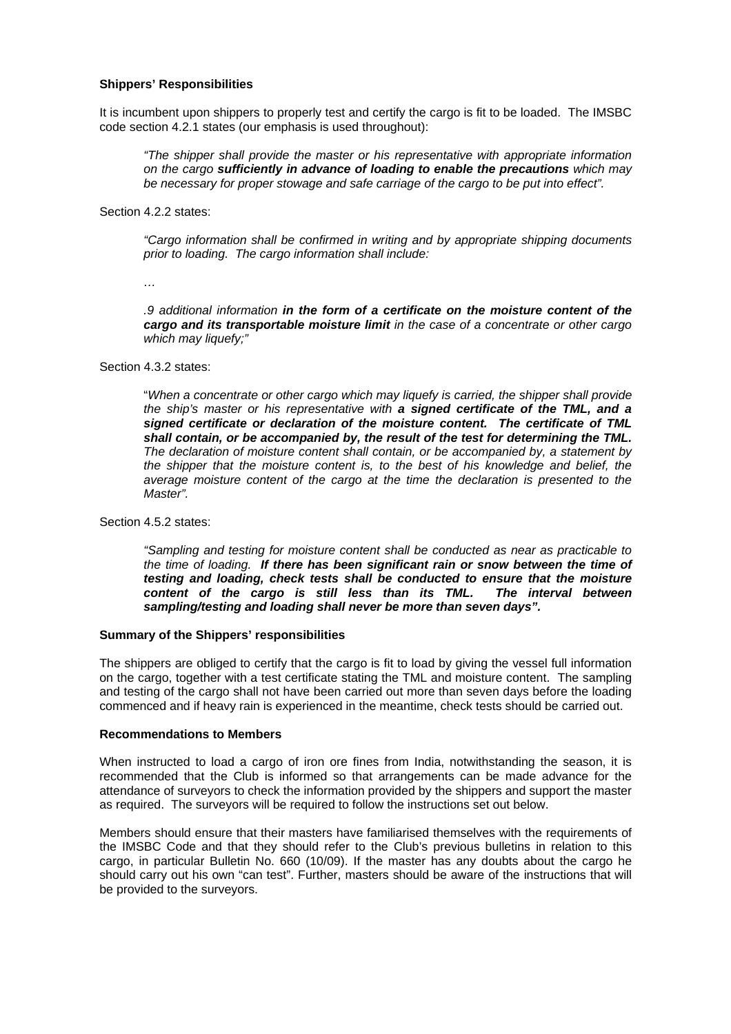### **Shippers' Responsibilities**

It is incumbent upon shippers to properly test and certify the cargo is fit to be loaded. The IMSBC ode section 4.2.1 states (our emphasis is used throughout): c

*<i>a die cargo sufficiently in advance of loading to enable the precautions which may be necessary for proper stowage and safe carriage of the cargo to be put into effect". "The shipper shall provide the master or his representative with appropriate information* 

Section 4.2.2 states:

*y appropriate shipping documents "Cargo information shall be confirmed in writing and b prior to loading. The cargo information shall include:* 

*…*

*portable moisture limit in the case of a concentrate or other cargo cargo and its trans which may liquefy;" .9 additional information in the form of a certificate on the moisture content of the* 

Section 4.3.2 states:

average moisture content of the cargo at the time the declaration is presented to the *Master".*  "*When a concentrate or other cargo which may liquefy is carried, the shipper shall provide the ship's master or his representative with a signed certificate of the TML, and a signed certificate or declaration of the moisture content. The certificate of TML shall contain, or be accompanied by, the result of the test for determining the TML. The declaration of moisture content shall contain, or be accompanied by, a statement by the shipper that the moisture content is, to the best of his knowledge and belief, the* 

Section 4.5.2 states:

*The interval between sampling/testing and loading shall never be more than seven days". "Sampling and testing for moisture content shall be conducted as near as practicable to the time of loading. If there has been significant rain or snow between the time of testing and loading, check tests shall be conducted to ensure that the moisture*  content of the cargo is still less than its TML.

#### Summary of the Shippers' responsibilities

commenced and if heavy rain is experienced in the meantime, check tests should be carried out. The shippers are obliged to certify that the cargo is fit to load by giving the vessel full information on the cargo, together with a test certificate stating the TML and moisture content. The sampling and testing of the cargo shall not have been carried out more than seven days before the loading

#### **ecommendations to Members R**

attendance of surveyors to check the information provided by the shippers and support the master as required. The surveyors will be required to follow the instructions set out below. When instructed to load a cargo of iron ore fines from India, notwithstanding the season, it is recommended that the Club is informed so that arrangements can be made advance for the

should carry out his own "can test". Further, masters should be aware of the instructions that will be provided to the surveyors. Members should ensure that their masters have familiarised themselves with the requirements of the IMSBC Code and that they should refer to the Club's previous bulletins in relation to this cargo, in particular Bulletin No. 660 (10/09). If the master has any doubts about the cargo he